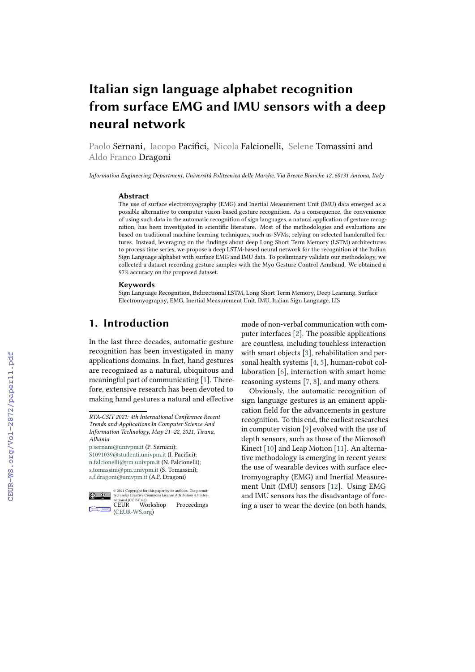# **Italian sign language alphabet recognition from surface EMG and IMU sensors with a deep neural network**

Paolo Sernani, Iacopo Pacifici, Nicola Falcionelli, Selene Tomassini and Aldo Franco Dragoni

*Information Engineering Department, Università Politecnica delle Marche, Via Brecce Bianche 12, 60131 Ancona, Italy*

#### **Abstract**

The use of surface electromyography (EMG) and Inertial Measurement Unit (IMU) data emerged as a possible alternative to computer vision-based gesture recognition. As a consequence, the convenience of using such data in the automatic recognition of sign languages, a natural application of gesture recognition, has been investigated in scientific literature. Most of the methodologies and evaluations are based on traditional machine learning techniques, such as SVMs, relying on selected handcrafted features. Instead, leveraging on the findings about deep Long Short Term Memory (LSTM) architectures to process time series, we propose a deep LSTM-based neural network for the recognition of the Italian Sign Language alphabet with surface EMG and IMU data. To preliminary validate our methodology, we collected a dataset recording gesture samples with the Myo Gesture Control Armband. We obtained a 97% accuracy on the proposed dataset.

#### **Keywords**

Sign Language Recognition, Bidirectional LSTM, Long Short Term Memory, Deep Learning, Surface Electromyography, EMG, Inertial Measurement Unit, IMU, Italian Sign Language, LIS

# **1. Introduction**

In the last three decades, automatic gesture recognition has been investigated in many applications domains. In fact, hand gestures are recognized as a natural, ubiquitous and meaningful part of communicating [\[1\]](#page--1-0). Therefore, extensive research has been devoted to making hand gestures a natural and effective

[p.sernani@univpm.it](mailto:p.sernani@univpm.it) (P. Sernani); [S1091039@studenti.univpm.it](mailto:S1091039@studenti.univpm.it) (I. Pacifici); [n.falcionelli@pm.univpm.it](mailto:n.falcionelli@pm.univpm.it) (N. Falcionelli); [s.tomassini@pm.univpm.it](mailto:s.tomassini@pm.univpm.it) (S. Tomassini); [a.f.dragoni@univpm.it](mailto:a.f.dragoni@univpm.it) (A.F. Dragoni)



© 2021 Copyright for this paper by its authors. Use permit-ted under Creative Commons License Attribution 4.0 International (CC BY 4.0). CEUR Workshop Proceedings  $\equiv$  [\(CEUR-WS.org\)](http://ceur-ws.org)

mode of non-verbal communication with computer interfaces [\[2\]](#page--1-1). The possible applications are countless, including touchless interaction with smart objects [\[3\]](#page--1-2), rehabilitation and personal health systems [\[4,](#page--1-3) [5\]](#page--1-4), human-robot collaboration [\[6\]](#page--1-5), interaction with smart home reasoning systems [\[7,](#page--1-6) [8\]](#page--1-7), and many others.

Obviously, the automatic recognition of sign language gestures is an eminent application field for the advancements in gesture recognition. To this end, the earliest researches in computer vision [\[9\]](#page--1-8) evolved with the use of depth sensors, such as those of the Microsoft Kinect [\[10\]](#page--1-9) and Leap Motion [\[11\]](#page--1-10). An alternative methodology is emerging in recent years: the use of wearable devices with surface electromyography (EMG) and Inertial Measurement Unit (IMU) sensors [\[12\]](#page--1-11). Using EMG and IMU sensors has the disadvantage of forcing a user to wear the device (on both hands,

*RTA-CSIT 2021: 4th International Conference Recent Trends and Applications In Computer Science And Information Technology, May 21–22, 2021, Tirana, Albania*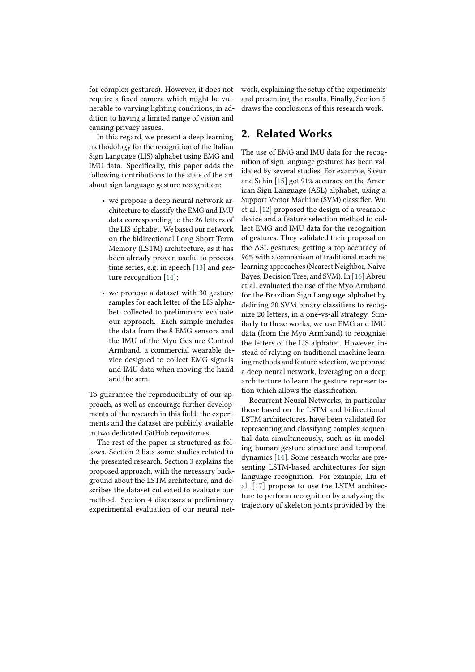for complex gestures). However, it does not require a fixed camera which might be vulnerable to varying lighting conditions, in addition to having a limited range of vision and causing privacy issues.

In this regard, we present a deep learning methodology for the recognition of the Italian Sign Language (LIS) alphabet using EMG and IMU data. Specifically, this paper adds the following contributions to the state of the art about sign language gesture recognition:

- we propose a deep neural network architecture to classify the EMG and IMU data corresponding to the 26 letters of the LIS alphabet. We based our network on the bidirectional Long Short Term Memory (LSTM) architecture, as it has been already proven useful to process time series, e.g. in speech [\[13\]](#page-9-0) and gesture recognition [\[14\]](#page-9-1);
- we propose a dataset with 30 gesture samples for each letter of the LIS alphabet, collected to preliminary evaluate our approach. Each sample includes the data from the 8 EMG sensors and the IMU of the Myo Gesture Control Armband, a commercial wearable device designed to collect EMG signals and IMU data when moving the hand and the arm.

To guarantee the reproducibility of our approach, as well as encourage further developments of the research in this field, the experiments and the dataset are publicly available in two dedicated GitHub repositories.

The rest of the paper is structured as follows. Section [2](#page-1-0) lists some studies related to the presented research. Section [3](#page-2-0) explains the proposed approach, with the necessary background about the LSTM architecture, and describes the dataset collected to evaluate our method. Section [4](#page-5-0) discusses a preliminary experimental evaluation of our neural network, explaining the setup of the experiments and presenting the results. Finally, Section [5](#page-7-0) draws the conclusions of this research work.

# <span id="page-1-0"></span>**2. Related Works**

The use of EMG and IMU data for the recognition of sign language gestures has been validated by several studies. For example, Savur and Sahin [\[15\]](#page-9-2) got 91% accuracy on the American Sign Language (ASL) alphabet, using a Support Vector Machine (SVM) classifier. Wu et al. [\[12\]](#page-9-3) proposed the design of a wearable device and a feature selection method to collect EMG and IMU data for the recognition of gestures. They validated their proposal on the ASL gestures, getting a top accuracy of 96% with a comparison of traditional machine learning approaches (Nearest Neighbor, Naive Bayes, Decision Tree, and SVM). In [\[16\]](#page-9-4) Abreu et al. evaluated the use of the Myo Armband for the Brazilian Sign Language alphabet by defining 20 SVM binary classifiers to recognize 20 letters, in a one-vs-all strategy. Similarly to these works, we use EMG and IMU data (from the Myo Armband) to recognize the letters of the LIS alphabet. However, instead of relying on traditional machine learning methods and feature selection, we propose a deep neural network, leveraging on a deep architecture to learn the gesture representation which allows the classification.

Recurrent Neural Networks, in particular those based on the LSTM and bidirectional LSTM architectures, have been validated for representing and classifying complex sequential data simultaneously, such as in modeling human gesture structure and temporal dynamics [\[14\]](#page-9-1). Some research works are presenting LSTM-based architectures for sign language recognition. For example, Liu et al. [\[17\]](#page-9-5) propose to use the LSTM architecture to perform recognition by analyzing the trajectory of skeleton joints provided by the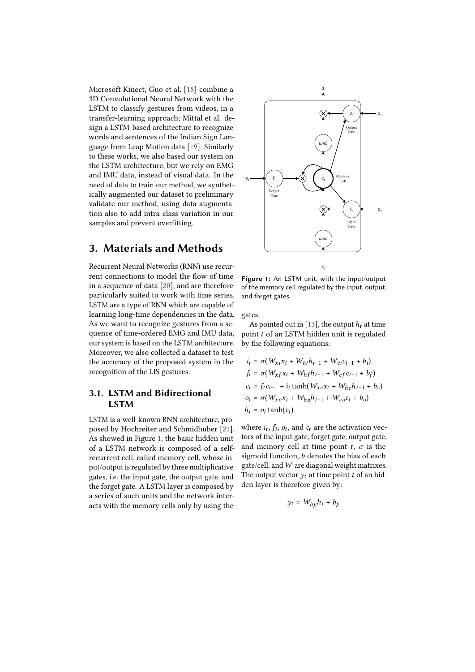Microsoft Kinect; Guo et al. [\[18\]](#page-9-6) combine a 3D Convolutional Neural Network with the LSTM to classify gestures from videos, in a transfer-learning approach; Mittal et al. design a LSTM-based architecture to recognize words and sentences of the Indian Sign Language from Leap Motion data [\[19\]](#page-9-7). Similarly to these works, we also based our system on the LSTM architecture, but we rely on EMG and IMU data, instead of visual data. In the need of data to train our method, we synthetically augmented our dataset to preliminary validate our method, using data augmentation also to add intra-class variation in our samples and prevent overfitting.

# <span id="page-2-0"></span>**3. Materials and Methods**

Recurrent Neural Networks (RNN) use recurrent connections to model the flow of time in a sequence of data [\[20\]](#page-9-8), and are therefore particularly suited to work with time series. LSTM are a type of RNN which are capable of learning long-time dependencies in the data. As we want to recognize gestures from a sequence of time-ordered EMG and IMU data, our system is based on the LSTM architecture. Moreover, we also collected a dataset to test the accuracy of the proposed system in the recognition of the LIS gestures.

## **3.1. LSTM and Bidirectional LSTM**

LSTM is a well-known RNN architecture, proposed by Hochreiter and Schmidhuber [\[21\]](#page-9-9). As showed in Figure [1,](#page-2-1) the basic hidden unit of a LSTM network is composed of a selfrecurrent cell, called memory cell, whose input/output is regulated by three multiplicative gates, i.e. the input gate, the output gate, and the forget gate. A LSTM layer is composed by a series of such units and the network interacts with the memory cells only by using the

<span id="page-2-1"></span>

**Figure 1:** An LSTM unit, with the input/output of the memory cell regulated by the input, output, and forget gates.

gates.

As pointed out in [\[13\]](#page-9-0), the output  $h_t$  at time point  $t$  of an LSTM hidden unit is regulated by the following equations:

$$
i_{t} = \sigma(W_{xi}x_{t} + W_{hi}h_{t-1} + W_{ci}c_{t-1} + b_{i})
$$
  
\n
$$
f_{t} = \sigma(W_{xf}x_{t} + W_{hf}h_{t-1} + W_{cf}c_{t-1} + b_{f})
$$
  
\n
$$
c_{t} = f_{t}c_{t-1} + i_{t} \tanh(W_{xc}x_{t} + W_{hc}h_{t-1} + b_{c})
$$
  
\n
$$
o_{t} = \sigma(W_{xo}x_{t} + W_{ho}h_{t-1} + W_{co}c_{t} + b_{o})
$$
  
\n
$$
h_{t} = o_{t} \tanh(c_{t})
$$

where  $i_t$ ,  $f_t$ ,  $o_t$ , and  $c_t$  are the activation vectors of the input gate, forget gate, output gate, and memory cell at time point  $t, \sigma$  is the sigmoid function,  $b$  denotes the bias of each gate/cell, and  $W$  are diagonal weight matrixes. The output vector  $y_t$  at time point *t* of an hidden layer is therefore given by:

$$
y_t = W_{hy} h_t + b_y
$$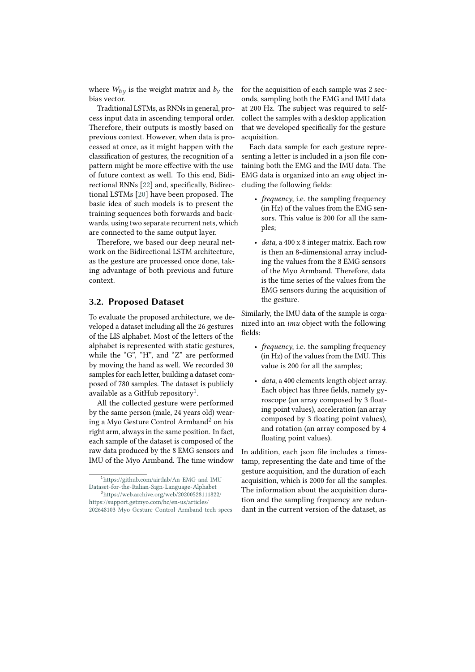where  $W_{h\nu}$  is the weight matrix and  $b_{\nu}$  the bias vector.

Traditional LSTMs, as RNNs in general, process input data in ascending temporal order. Therefore, their outputs is mostly based on previous context. However, when data is processed at once, as it might happen with the classification of gestures, the recognition of a pattern might be more effective with the use of future context as well. To this end, Bidirectional RNNs [\[22\]](#page-9-10) and, specifically, Bidirectional LSTMs [\[20\]](#page-9-8) have been proposed. The basic idea of such models is to present the training sequences both forwards and backwards, using two separate recurrent nets, which are connected to the same output layer.

Therefore, we based our deep neural network on the Bidirectional LSTM architecture, as the gesture are processed once done, taking advantage of both previous and future context.

### **3.2. Proposed Dataset**

To evaluate the proposed architecture, we developed a dataset including all the 26 gestures of the LIS alphabet. Most of the letters of the alphabet is represented with static gestures, while the "G", "H", and "Z" are performed by moving the hand as well. We recorded 30 samples for each letter, building a dataset composed of 780 samples. The dataset is publicly available as a GitHub repository $^1.$  $^1.$  $^1.$ 

All the collected gesture were performed by the same person (male, 24 years old) wearing a Myo Gesture Control Armband[2](#page--1-12) on his right arm, always in the same position. In fact, each sample of the dataset is composed of the raw data produced by the 8 EMG sensors and IMU of the Myo Armband. The time window for the acquisition of each sample was 2 seconds, sampling both the EMG and IMU data at 200 Hz. The subject was required to selfcollect the samples with a desktop application that we developed specifically for the gesture acquisition.

Each data sample for each gesture representing a letter is included in a json file containing both the EMG and the IMU data. The EMG data is organized into an *emg* object including the following fields:

- *frequency*, i.e. the sampling frequency (in Hz) of the values from the EMG sensors. This value is 200 for all the samples;
- *data*, a 400 x 8 integer matrix. Each row is then an 8-dimensional array including the values from the 8 EMG sensors of the Myo Armband. Therefore, data is the time series of the values from the EMG sensors during the acquisition of the gesture.

Similarly, the IMU data of the sample is organized into an *imu* object with the following fields:

- *frequency*, i.e. the sampling frequency (in Hz) of the values from the IMU. This value is 200 for all the samples;
- *data*, a 400 elements length object array. Each object has three fields, namely gyroscope (an array composed by 3 floating point values), acceleration (an array composed by 3 floating point values), and rotation (an array composed by 4 floating point values).

In addition, each json file includes a timestamp, representing the date and time of the gesture acquisition, and the duration of each acquisition, which is 2000 for all the samples. The information about the acquisition duration and the sampling frequency are redundant in the current version of the dataset, as

<sup>1</sup>[https://github.com/airtlab/An-EMG-and-IMU-](https://github.com/airtlab/An-EMG-and-IMU-Dataset-for-the-Italian-Sign-Language-Alphabet)[Dataset-for-the-Italian-Sign-Language-Alphabet](https://github.com/airtlab/An-EMG-and-IMU-Dataset-for-the-Italian-Sign-Language-Alphabet)

<sup>2</sup>[https://web.archive.org/web/20200528111822/](https://web.archive.org/web/20200528111822/https://support.getmyo.com/hc/en-us/articles/202648103-Myo-Gesture-Control-Armband-tech-specs) [https://support.getmyo.com/hc/en-us/articles/](https://web.archive.org/web/20200528111822/https://support.getmyo.com/hc/en-us/articles/202648103-Myo-Gesture-Control-Armband-tech-specs) [202648103-Myo-Gesture-Control-Armband-tech-specs](https://web.archive.org/web/20200528111822/https://support.getmyo.com/hc/en-us/articles/202648103-Myo-Gesture-Control-Armband-tech-specs)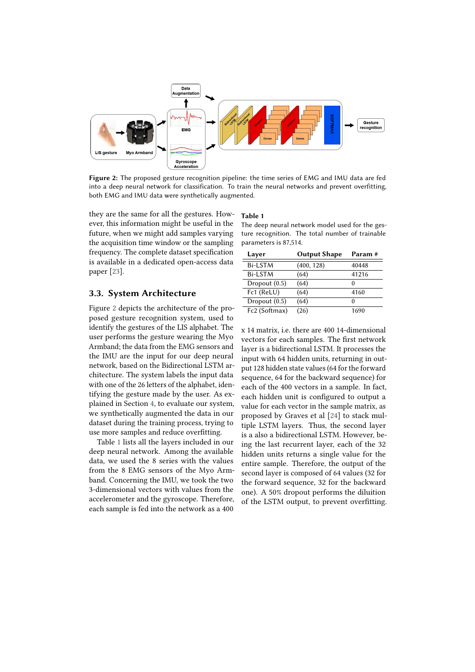<span id="page-4-0"></span>

**Figure 2:** The proposed gesture recognition pipeline: the time series of EMG and IMU data are fed into a deep neural network for classification. To train the neural networks and prevent overfitting, both EMG and IMU data were synthetically augmented.

they are the same for all the gestures. However, this information might be useful in the future, when we might add samples varying the acquisition time window or the sampling frequency. The complete dataset specification is available in a dedicated open-access data paper [\[23\]](#page-9-11).

### **3.3. System Architecture**

Figure [2](#page-4-0) depicts the architecture of the proposed gesture recognition system, used to identify the gestures of the LIS alphabet. The user performs the gesture wearing the Myo Armband; the data from the EMG sensors and the IMU are the input for our deep neural network, based on the Bidirectional LSTM architecture. The system labels the input data with one of the 26 letters of the alphabet, identifying the gesture made by the user. As explained in Section [4,](#page-5-0) to evaluate our system, we synthetically augmented the data in our dataset during the training process, trying to use more samples and reduce overfitting.

Table [1](#page-4-1) lists all the layers included in our deep neural network. Among the available data, we used the 8 series with the values from the 8 EMG sensors of the Myo Armband. Concerning the IMU, we took the two 3-dimensional vectors with values from the accelerometer and the gyroscope. Therefore, each sample is fed into the network as a 400

#### <span id="page-4-1"></span>**Table 1**

The deep neural network model used for the gesture recognition. The total number of trainable parameters is 87,514.

| Layer           | <b>Output Shape</b> | Param#       |
|-----------------|---------------------|--------------|
| Bi-LSTM         | (400, 128)          | 40448        |
| <b>Bi-LSTM</b>  | (64)                | 41216        |
| Dropout $(0.5)$ | (64)                | $\mathbf{a}$ |
| Fc1 (ReLU)      | (64)                | 4160         |
| Dropout $(0.5)$ | (64)                | 0            |
| Fc2 (Softmax)   | (26)                | 1690         |

x 14 matrix, i.e. there are 400 14-dimensional vectors for each samples. The first network layer is a bidirectional LSTM. It processes the input with 64 hidden units, returning in output 128 hidden state values (64 for the forward sequence, 64 for the backward sequence) for each of the 400 vectors in a sample. In fact, each hidden unit is configured to output a value for each vector in the sample matrix, as proposed by Graves et al [\[24\]](#page-9-12) to stack multiple LSTM layers. Thus, the second layer is a also a bidirectional LSTM. However, being the last recurrent layer, each of the 32 hidden units returns a single value for the entire sample. Therefore, the output of the second layer is composed of 64 values (32 for the forward sequence, 32 for the backward one). A 50% dropout performs the diluition of the LSTM output, to prevent overfitting.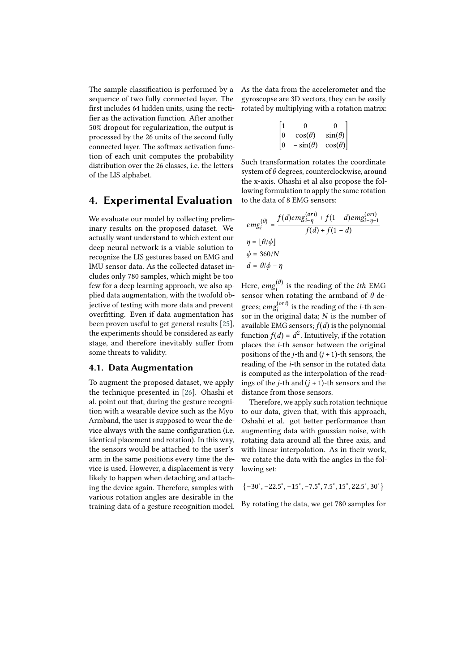The sample classification is performed by a sequence of two fully connected layer. The first includes 64 hidden units, using the rectifier as the activation function. After another 50% dropout for regularization, the output is processed by the 26 units of the second fully connected layer. The softmax activation function of each unit computes the probability distribution over the 26 classes, i.e. the letters of the LIS alphabet.

# <span id="page-5-0"></span>**4. Experimental Evaluation**

We evaluate our model by collecting preliminary results on the proposed dataset. We actually want understand to which extent our deep neural network is a viable solution to recognize the LIS gestures based on EMG and IMU sensor data. As the collected dataset includes only 780 samples, which might be too few for a deep learning approach, we also applied data augmentation, with the twofold objective of testing with more data and prevent overfitting. Even if data augmentation has been proven useful to get general results [\[25\]](#page-9-13), the experiments should be considered as early stage, and therefore inevitably suffer from some threats to validity.

### **4.1. Data Augmentation**

To augment the proposed dataset, we apply the technique presented in [\[26\]](#page-9-14). Ohashi et al. point out that, during the gesture recognition with a wearable device such as the Myo Armband, the user is supposed to wear the device always with the same configuration (i.e. identical placement and rotation). In this way, the sensors would be attached to the user's arm in the same positions every time the device is used. However, a displacement is very likely to happen when detaching and attaching the device again. Therefore, samples with various rotation angles are desirable in the training data of a gesture recognition model. As the data from the accelerometer and the gyroscopse are 3D vectors, they can be easily rotated by multiplying with a rotation matrix:

| $\left\lceil \frac{1}{2} \right\rceil$ | O               | ∩              |
|----------------------------------------|-----------------|----------------|
| $ 0\rangle$                            | $cos(\theta)$   | $\sin(\theta)$ |
| $ 0\rangle$                            | $-\sin(\theta)$ | $cos(\theta)$  |

Such transformation rotates the coordinate system of  $\theta$  degrees, counterclockwise, around the x-axis. Ohashi et al also propose the following formulation to apply the same rotation to the data of 8 EMG sensors:

$$
emg_i^{(\theta)} = \frac{f(d)emg_{i-\eta}^{(ori)} + f(1-d)emg_{i-\eta-1}^{(ori)}}{f(d) + f(1-d)}
$$
  
\n
$$
\eta = \lfloor \theta/\phi \rfloor
$$
  
\n
$$
\phi = 360/N
$$
  
\n
$$
d = \theta/\phi - \eta
$$

Here,  $\it{ems}_i^{(\theta)}$  $\hat{u}^{(\theta)}$  is the reading of the *ith* EMG sensor when rotating the armband of  $\theta$  degrees;  $emg_i^{(ori)}$  $i_i^{(ori)}$  is the reading of the *i*-th sensor in the original data;  $N$  is the number of available EMG sensors;  $f(d)$  is the polynomial function  $f(d) = d^2$ . Intuitively, if the rotation places the  $i$ -th sensor between the original positions of the *j*-th and  $(j + 1)$ -th sensors, the reading of the *i*-th sensor in the rotated data is computed as the interpolation of the readings of the *i*-th and  $(i + 1)$ -th sensors and the distance from those sensors.

Therefore, we apply such rotation technique to our data, given that, with this approach, Oshahi et al. got better performance than augmenting data with gaussian noise, with rotating data around all the three axis, and with linear interpolation. As in their work, we rotate the data with the angles in the following set:

 $\{-30^\circ, -22.5^\circ, -15^\circ, -7.5^\circ, 7.5^\circ, 15^\circ, 22.5^\circ, 30^\circ\}$ 

By rotating the data, we get 780 samples for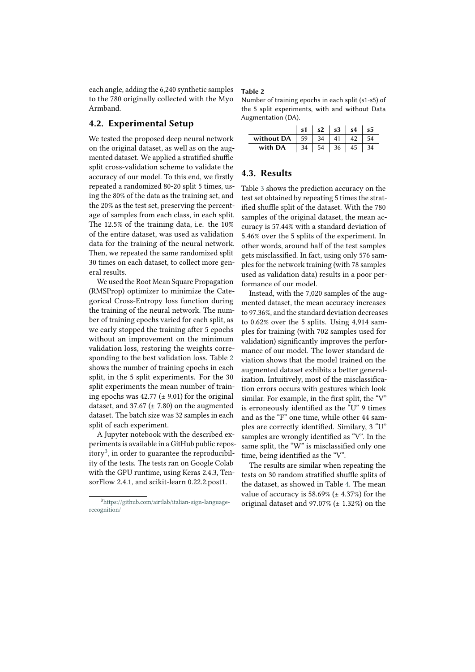each angle, adding the 6,240 synthetic samples to the 780 originally collected with the Myo Armband.

### **4.2. Experimental Setup**

We tested the proposed deep neural network on the original dataset, as well as on the augmented dataset. We applied a stratified shuffle split cross-validation scheme to validate the accuracy of our model. To this end, we firstly repeated a randomized 80-20 split 5 times, using the 80% of the data as the training set, and the 20% as the test set, preserving the percentage of samples from each class, in each split. The 12.5% of the training data, i.e. the 10% of the entire dataset, was used as validation data for the training of the neural network. Then, we repeated the same randomized split 30 times on each dataset, to collect more general results.

We used the Root Mean Square Propagation (RMSProp) optimizer to minimize the Categorical Cross-Entropy loss function during the training of the neural network. The number of training epochs varied for each split, as we early stopped the training after 5 epochs without an improvement on the minimum validation loss, restoring the weights corresponding to the best validation loss. Table [2](#page-6-0) shows the number of training epochs in each split, in the 5 split experiments. For the 30 split experiments the mean number of training epochs was  $42.77 \left( \pm 9.01 \right)$  for the original dataset, and 37.67 ( $\pm$  7.80) on the augmented dataset. The batch size was 32 samples in each split of each experiment.

A Jupyter notebook with the described experiments is available in a GitHub public repository $3$ , in order to guarantee the reproducibility of the tests. The tests ran on Google Colab with the GPU runtime, using Keras 2.4.3, TensorFlow 2.4.1, and scikit-learn 0.22.2.post1.

#### <span id="page-6-0"></span>**Table 2**

Number of training epochs in each split (s1-s5) of the 5 split experiments, with and without Data Augmentation (DA).

|                       |    |    |    | $s1$   $s2$   $s3$   $s4$   $s5$ |    |
|-----------------------|----|----|----|----------------------------------|----|
| without DA $\vert$ 59 |    | 34 | 41 |                                  |    |
| with DA               | 34 | 54 | 36 | 45                               | 34 |

### **4.3. Results**

Table [3](#page-7-1) shows the prediction accuracy on the test set obtained by repeating 5 times the stratified shuffle split of the dataset. With the 780 samples of the original dataset, the mean accuracy is 57.44% with a standard deviation of 5.46% over the 5 splits of the experiment. In other words, around half of the test samples gets misclassified. In fact, using only 576 samples for the network training (with 78 samples used as validation data) results in a poor performance of our model.

Instead, with the 7,020 samples of the augmented dataset, the mean accuracy increases to 97.36%, and the standard deviation decreases to 0.62% over the 5 splits. Using 4,914 samples for training (with 702 samples used for validation) significantly improves the performance of our model. The lower standard deviation shows that the model trained on the augmented dataset exhibits a better generalization. Intuitively, most of the misclassification errors occurs with gestures which look similar. For example, in the first split, the "V" is erroneously identified as the "U" 9 times and as the "F" one time, while other 44 samples are correctly identified. Similary, 3 "U" samples are wrongly identified as "V". In the same split, the "W" is misclassified only one time, being identified as the "V".

The results are similar when repeating the tests on 30 random stratified shuffle splits of the dataset, as showed in Table [4.](#page-7-2) The mean value of accuracy is  $58.69\%$  ( $\pm$  4.37%) for the original dataset and 97.07% ( $\pm$  1.32%) on the

<sup>3</sup>[https://github.com/airtlab/italian-sign-language](https://github.com/airtlab/italian-sign-language-recognition/)[recognition/](https://github.com/airtlab/italian-sign-language-recognition/)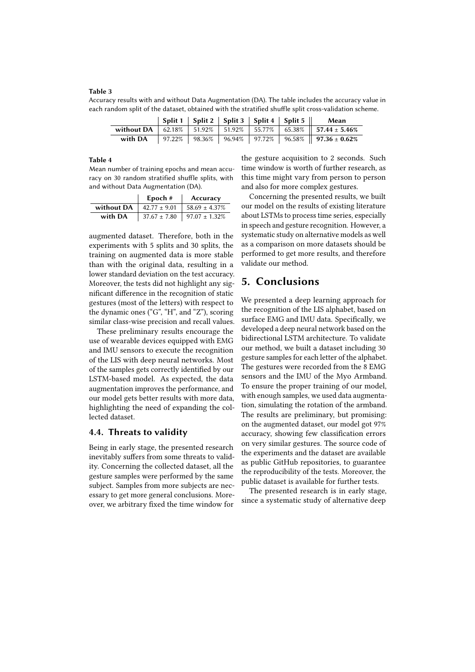#### <span id="page-7-1"></span>**Table 3**

Accuracy results with and without Data Augmentation (DA). The table includes the accuracy value in each random split of the dataset, obtained with the stratified shuffle split cross-validation scheme.

|         |  |  | Split 1   Split 2   Split 3   Split 4   Split 5 | Mean                                                                                        |
|---------|--|--|-------------------------------------------------|---------------------------------------------------------------------------------------------|
|         |  |  |                                                 | without DA   $62.18\%$   $51.92\%$   $51.92\%$   $55.77\%$   $65.38\%$   $57.44 \pm 5.46\%$ |
| with DA |  |  |                                                 | 97.22%   98.36%   96.94%   97.72%   96.58%    <b>97.36</b> ± <b>0.62%</b>                   |

#### <span id="page-7-2"></span>**Table 4**

Mean number of training epochs and mean accuracy on 30 random stratified shuffle splits, with and without Data Augmentation (DA).

|            | Epoch $#$        | Accuracy                             |
|------------|------------------|--------------------------------------|
| without DA | $42.77 \pm 9.01$ | $158.69 \pm 4.37\%$                  |
| with DA    |                  | $37.67 \pm 7.80$   97.07 $\pm$ 1.32% |

augmented dataset. Therefore, both in the experiments with 5 splits and 30 splits, the training on augmented data is more stable than with the original data, resulting in a lower standard deviation on the test accuracy. Moreover, the tests did not highlight any significant difference in the recognition of static gestures (most of the letters) with respect to the dynamic ones ("G", "H", and "Z"), scoring similar class-wise precision and recall values.

These preliminary results encourage the use of wearable devices equipped with EMG and IMU sensors to execute the recognition of the LIS with deep neural networks. Most of the samples gets correctly identified by our LSTM-based model. As expected, the data augmentation improves the performance, and our model gets better results with more data, highlighting the need of expanding the collected dataset.

#### **4.4. Threats to validity**

Being in early stage, the presented research inevitably suffers from some threats to validity. Concerning the collected dataset, all the gesture samples were performed by the same subject. Samples from more subjects are necessary to get more general conclusions. Moreover, we arbitrary fixed the time window for

the gesture acquisition to 2 seconds. Such time window is worth of further research, as this time might vary from person to person and also for more complex gestures.

Concerning the presented results, we built our model on the results of existing literature about LSTMs to process time series, especially in speech and gesture recognition. However, a systematic study on alternative models as well as a comparison on more datasets should be performed to get more results, and therefore validate our method.

# <span id="page-7-0"></span>**5. Conclusions**

We presented a deep learning approach for the recognition of the LIS alphabet, based on surface EMG and IMU data. Specifically, we developed a deep neural network based on the bidirectional LSTM architecture. To validate our method, we built a dataset including 30 gesture samples for each letter of the alphabet. The gestures were recorded from the 8 EMG sensors and the IMU of the Myo Armband. To ensure the proper training of our model, with enough samples, we used data augmentation, simulating the rotation of the armband. The results are preliminary, but promising: on the augmented dataset, our model got 97% accuracy, showing few classification errors on very similar gestures. The source code of the experiments and the dataset are available as public GitHub repositories, to guarantee the reproducibility of the tests. Moreover, the public dataset is available for further tests.

The presented research is in early stage, since a systematic study of alternative deep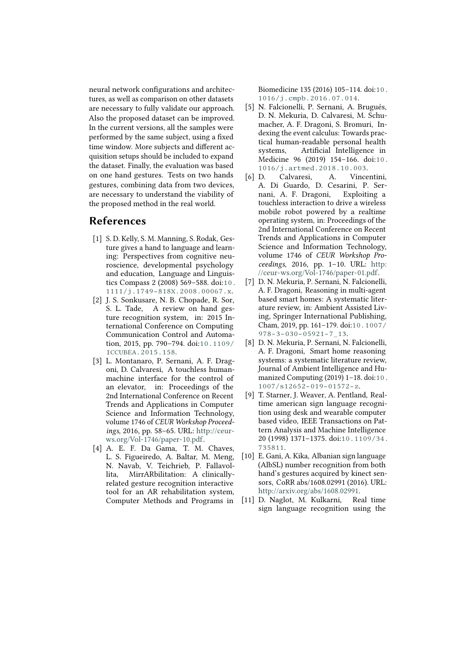neural network configurations and architectures, as well as comparison on other datasets are necessary to fully validate our approach. Also the proposed dataset can be improved. In the current versions, all the samples were performed by the same subject, using a fixed time window. More subjects and different acquisition setups should be included to expand the dataset. Finally, the evaluation was based on one hand gestures. Tests on two hands gestures, combining data from two devices, are necessary to understand the viability of the proposed method in the real world.

# **References**

- [1] S. D. Kelly, S. M. Manning, S. Rodak, Gesture gives a hand to language and learning: Perspectives from cognitive neuroscience, developmental psychology and education, Language and Linguistics Compass 2 (2008) 569–588. doi:[10.](http://dx.doi.org/10.1111/j.1749-818X.2008.00067.x) [1111/j.1749-818X.2008.00067.x](http://dx.doi.org/10.1111/j.1749-818X.2008.00067.x).
- [2] J. S. Sonkusare, N. B. Chopade, R. Sor, S. L. Tade, A review on hand gesture recognition system, in: 2015 International Conference on Computing Communication Control and Automation, 2015, pp. 790–794. doi:[10.1109/](http://dx.doi.org/10.1109/ICCUBEA.2015.158) [ICCUBEA.2015.158](http://dx.doi.org/10.1109/ICCUBEA.2015.158).
- [3] L. Montanaro, P. Sernani, A. F. Dragoni, D. Calvaresi, A touchless humanmachine interface for the control of an elevator, in: Proceedings of the 2nd International Conference on Recent Trends and Applications in Computer Science and Information Technology, volume 1746 of *CEUR Workshop Proceedings*, 2016, pp. 58–65. URL: [http://ceur](http://ceur-ws.org/Vol-1746/paper-10.pdf)[ws.org/Vol-1746/paper-10.pdf.](http://ceur-ws.org/Vol-1746/paper-10.pdf)
- [4] A. E. F. Da Gama, T. M. Chaves, L. S. Figueiredo, A. Baltar, M. Meng, N. Navab, V. Teichrieb, P. Fallavollita, MirrARbilitation: A clinicallyrelated gesture recognition interactive tool for an AR rehabilitation system, Computer Methods and Programs in

Biomedicine 135 (2016) 105–114. doi:[10.](http://dx.doi.org/10.1016/j.cmpb.2016.07.014) [1016/j.cmpb.2016.07.014](http://dx.doi.org/10.1016/j.cmpb.2016.07.014).

- [5] N. Falcionelli, P. Sernani, A. Brugués, D. N. Mekuria, D. Calvaresi, M. Schumacher, A. F. Dragoni, S. Bromuri, Indexing the event calculus: Towards practical human-readable personal health systems, Artificial Intelligence in Medicine 96 (2019) 154–166. doi:[10.](http://dx.doi.org/10.1016/j.artmed.2018.10.003) [1016/j.artmed.2018.10.003](http://dx.doi.org/10.1016/j.artmed.2018.10.003).
- [6] D. Calvaresi, A. Vincentini, A. Di Guardo, D. Cesarini, P. Sernani, A. F. Dragoni, Exploiting a touchless interaction to drive a wireless mobile robot powered by a realtime operating system, in: Proceedings of the 2nd International Conference on Recent Trends and Applications in Computer Science and Information Technology, volume 1746 of *CEUR Workshop Proceedings*, 2016, pp. 1–10. URL: [http:](http://ceur-ws.org/Vol-1746/paper-01.pdf) [//ceur-ws.org/Vol-1746/paper-01.pdf.](http://ceur-ws.org/Vol-1746/paper-01.pdf)
- [7] D. N. Mekuria, P. Sernani, N. Falcionelli, A. F. Dragoni, Reasoning in multi-agent based smart homes: A systematic literature review, in: Ambient Assisted Living, Springer International Publishing, Cham, 2019, pp. 161–179. doi:[10.1007/](http://dx.doi.org/10.1007/978-3-030-05921-7_13) [978-3-030-05921-7\\_13](http://dx.doi.org/10.1007/978-3-030-05921-7_13).
- [8] D. N. Mekuria, P. Sernani, N. Falcionelli, A. F. Dragoni, Smart home reasoning systems: a systematic literature review, Journal of Ambient Intelligence and Humanized Computing (2019) 1–18. doi:[10.](http://dx.doi.org/10.1007/s12652-019-01572-z) [1007/s12652-019-01572-z](http://dx.doi.org/10.1007/s12652-019-01572-z).
- [9] T. Starner, J. Weaver, A. Pentland, Realtime american sign language recognition using desk and wearable computer based video, IEEE Transactions on Pattern Analysis and Machine Intelligence 20 (1998) 1371–1375. doi:[10.1109/34.](http://dx.doi.org/10.1109/34.735811) [735811](http://dx.doi.org/10.1109/34.735811).
- [10] E. Gani, A. Kika, Albanian sign language (AlbSL) number recognition from both hand's gestures acquired by kinect sensors, CoRR abs/1608.02991 (2016). URL: [http://arxiv.org/abs/1608.02991.](http://arxiv.org/abs/1608.02991)
- [11] D. Naglot, M. Kulkarni, Real time sign language recognition using the